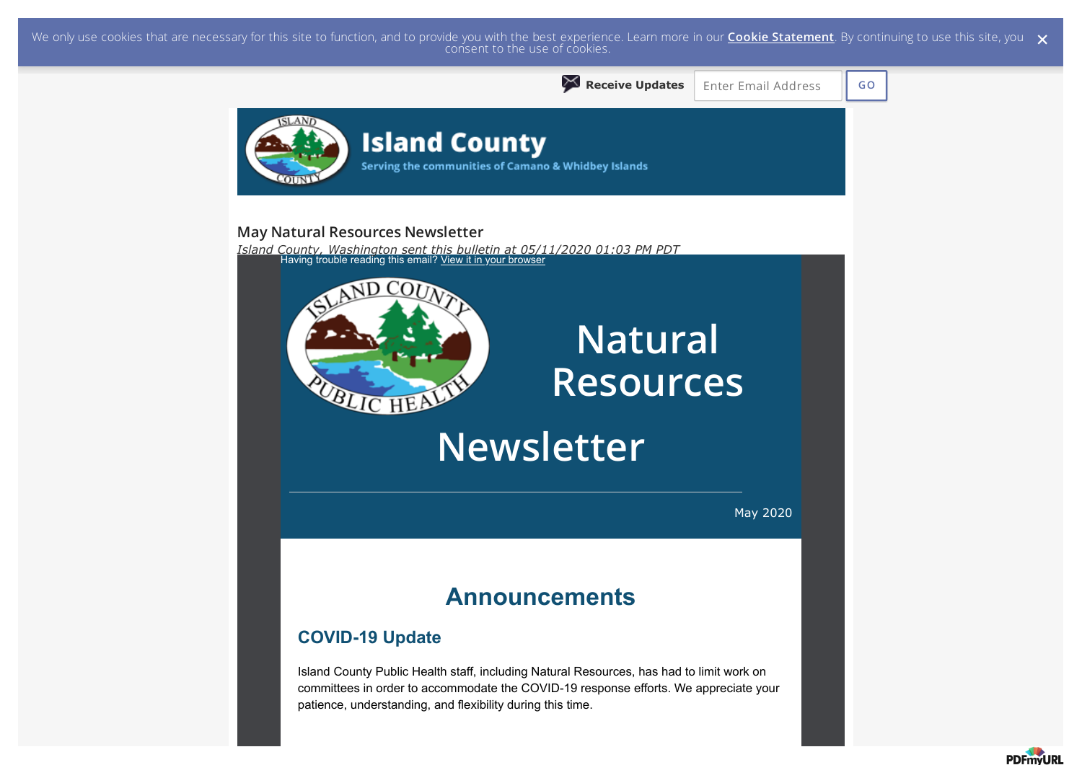We only use cookies that are necessary for this site to function, and to provide you with the best experience. Learn more in our <mark>Cookie Statement</mark>. By continuing to use this site, you  $\,\,\times\,$  consent to the use of cookie



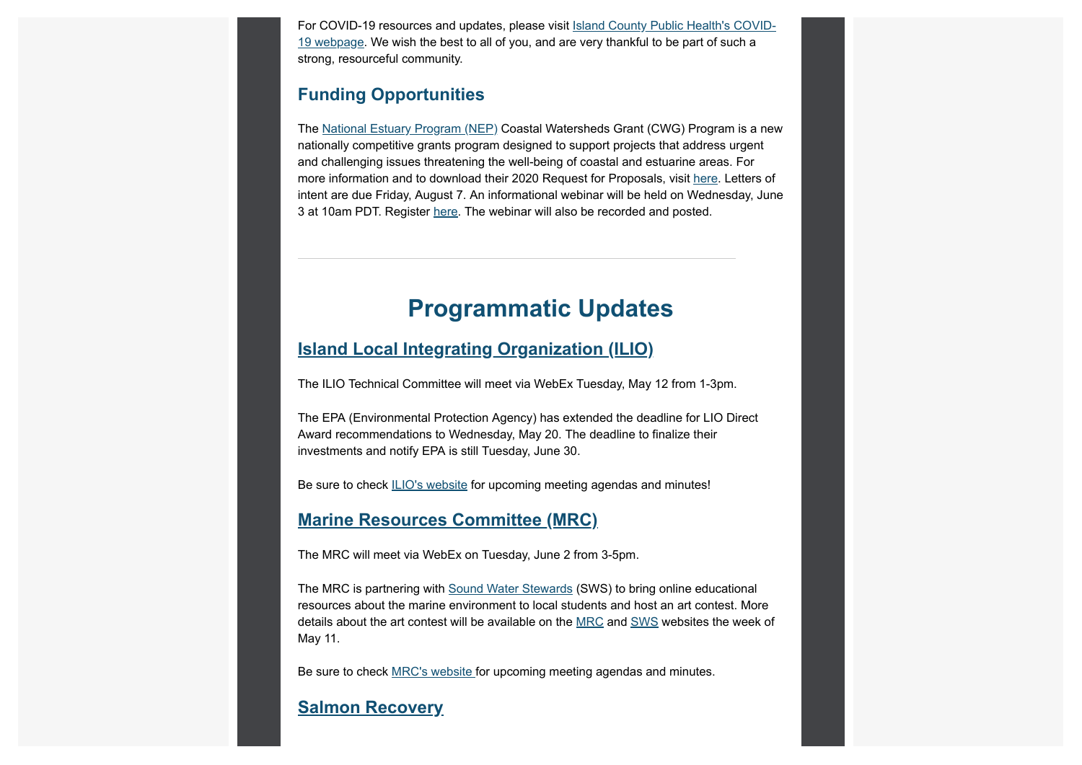For COVID-19 resources and updates, please visit Island County Public Health's COVID-19 webpage. We wish the best to all of you, and are very thankful to be part of such a strong, resourceful community.

## **Funding Opportunities**

The National Estuary Program (NEP) Coastal Watersheds Grant (CWG) Program is a new nationally competitive grants program designed to support projects that address urgent and challenging issues threatening the well-being of coastal and estuarine areas. For more information and to download their 2020 Request for Proposals, visit here. Letters of intent are due Friday, August 7. An informational webinar will be held on Wednesday, June 3 at 10am PDT. Register here. The webinar will also be recorded and posted.

# **Programmatic Updates**

### **Island Local Integrating Organization (ILIO)**

The ILIO Technical Committee will meet via WebEx Tuesday, May 12 from 1-3pm.

The EPA (Environmental Protection Agency) has extended the deadline for LIO Direct Award recommendations to Wednesday, May 20. The deadline to finalize their investments and notify EPA is still Tuesday, June 30.

Be sure to check ILIO's website for upcoming meeting agendas and minutes!

## **Marine Resources Committee (MRC)**

The MRC will meet via WebEx on Tuesday, June 2 from 3-5pm.

The MRC is partnering with Sound Water Stewards (SWS) to bring online educational resources about the marine environment to local students and host an art contest. More details about the art contest will be available on the MRC and SWS websites the week of May 11.

Be sure to check MRC's website for upcoming meeting agendas and minutes.

## **Salmon Recovery**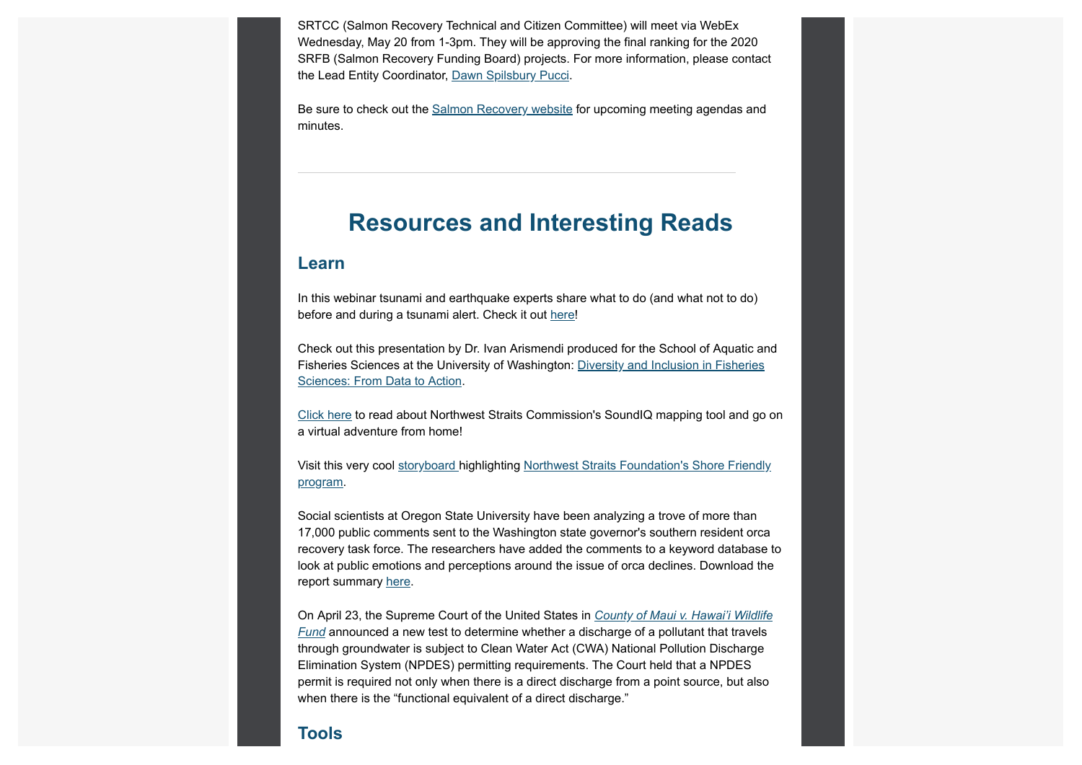SRTCC (Salmon Recovery Technical and Citizen Committee) will meet via WebEx Wednesday, May 20 from 1-3pm. They will be approving the final ranking for the 2020 SRFB (Salmon Recovery Funding Board) projects. For more information, please contact the Lead Entity Coordinator, Dawn Spilsbury Pucci.

Be sure to check out the Salmon Recovery website for upcoming meeting agendas and minutes.

## **Resources and Interesting Reads**

#### **Learn**

In this webinar tsunami and earthquake experts share what to do (and what not to do) before and during a tsunami alert. Check it out here!

Check out this presentation by Dr. Ivan Arismendi produced for the School of Aquatic and Fisheries Sciences at the University of Washington: Diversity and Inclusion in Fisheries Sciences: From Data to Action.

Click here to read about Northwest Straits Commission's SoundIQ mapping tool and go on a virtual adventure from home!

Visit this very cool storyboard highlighting Northwest Straits Foundation's Shore Friendly program.

Social scientists at Oregon State University have been analyzing a trove of more than 17,000 public comments sent to the Washington state governor's southern resident orca recovery task force. The researchers have added the comments to a keyword database to look at public emotions and perceptions around the issue of orca declines. Download the report summary here.

On April 23, the Supreme Court of the United States in *County of Maui v. Hawai'i Wildlife Fund* announced a new test to determine whether a discharge of a pollutant that travels through groundwater is subject to Clean Water Act (CWA) National Pollution Discharge Elimination System (NPDES) permitting requirements. The Court held that a NPDES permit is required not only when there is a direct discharge from a point source, but also when there is the "functional equivalent of a direct discharge."

#### **Tools**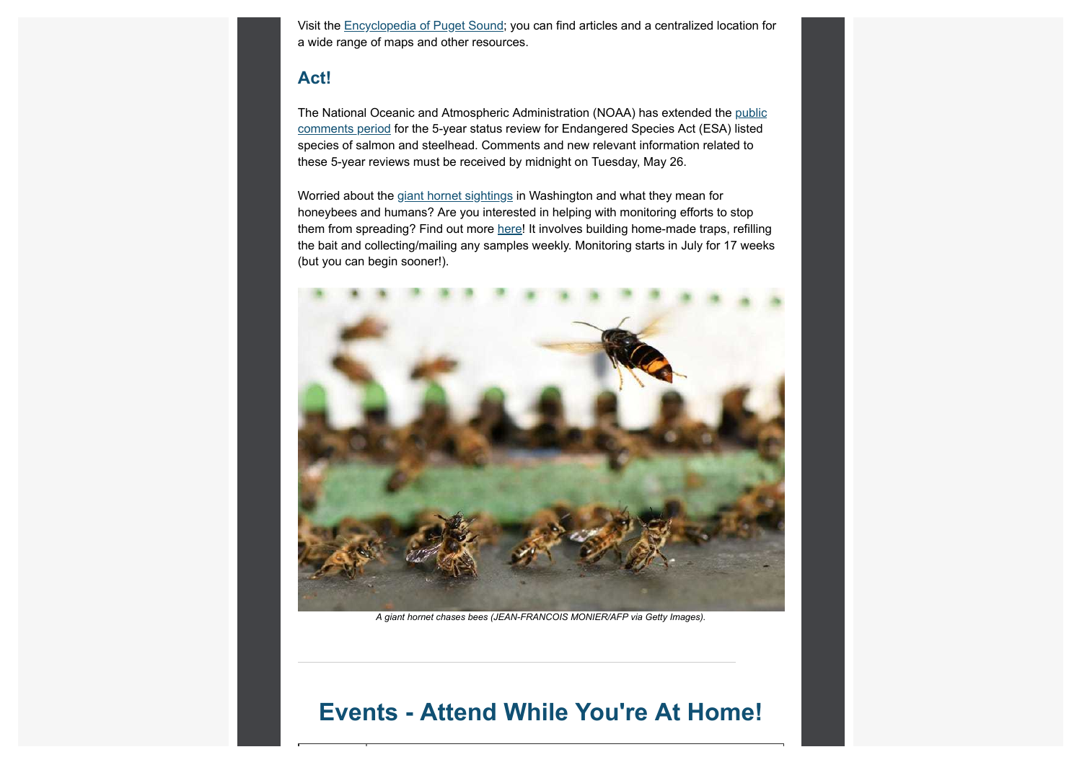Visit the Encyclopedia of Puget Sound; you can find articles and a centralized location for a wide range of maps and other resources.

## **Act!**

The National Oceanic and Atmospheric Administration (NOAA) has extended the public comments period for the 5-year status review for Endangered Species Act (ESA) listed species of salmon and steelhead. Comments and new relevant information related to these 5-year reviews must be received by midnight on Tuesday, May 26.

Worried about the giant hornet sightings in Washington and what they mean for honeybees and humans? Are you interested in helping with monitoring efforts to stop them from spreading? Find out more here! It involves building home-made traps, refilling the bait and collecting/mailing any samples weekly. Monitoring starts in July for 17 weeks (but you can begin sooner!).



*A giant hornet chases bees (JEAN-FRANCOIS MONIER/AFP via Getty Images).*

## **Events - Attend While You're At Home!**